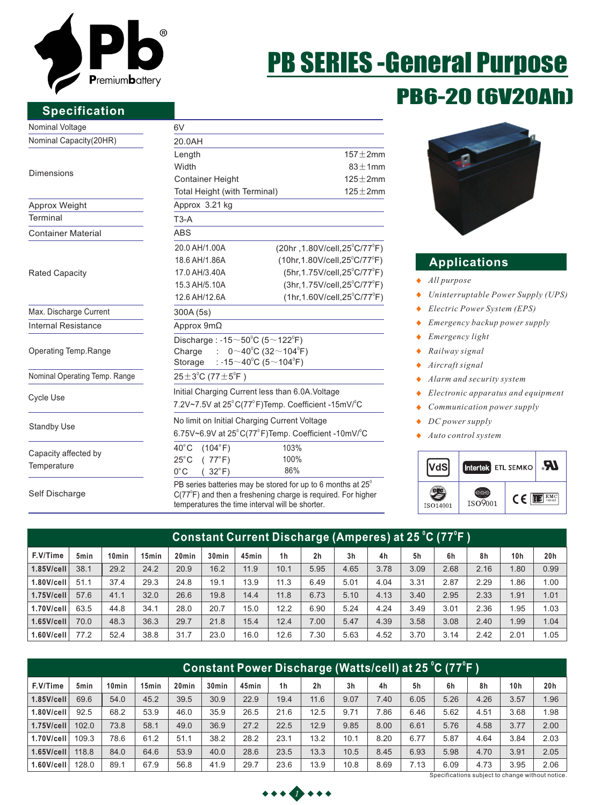

### **Specification**

### Nominal Voltage

Nominal Capacity(20HR)

#### Dimensions

| Approx Weight             |  |
|---------------------------|--|
| Terminal                  |  |
| <b>Container Material</b> |  |

Rated Capacity

Max. Discharge Current Internal Resistance

Operating Temp.Range

Nominal Operating Temp. Range

Cycle Use

Standby Use

Capacity affected by **Temperature** 

Self Discharge

| 6V                                                             |                                                                                    |                             |  |  |  |
|----------------------------------------------------------------|------------------------------------------------------------------------------------|-----------------------------|--|--|--|
| 20.0AH                                                         |                                                                                    |                             |  |  |  |
| Length<br>Width                                                |                                                                                    | $157 + 2$ mm<br>$83 + 1$ mm |  |  |  |
|                                                                | $125 + 2mm$                                                                        |                             |  |  |  |
| <b>Container Height</b><br>Total Height (with Terminal)        |                                                                                    | $125 \pm 2$ mm              |  |  |  |
| Approx 3.21 kg                                                 |                                                                                    |                             |  |  |  |
| $T3-A$                                                         |                                                                                    |                             |  |  |  |
| <b>ABS</b>                                                     |                                                                                    |                             |  |  |  |
| 20.0 AH/1.00A                                                  | $(20hr, 1.80V/cell, 25^{\circ}C/77^{\circ}F)$                                      |                             |  |  |  |
| 18.6 AH/1.86A                                                  | $(10hr, 1.80V/cell, 25^{\circ}C/77^{\circ}F)$                                      |                             |  |  |  |
| 17.0 AH/3.40A                                                  | (5hr, 1.75V/cell, 25°C/77°F)                                                       |                             |  |  |  |
| 15.3 AH/5.10A                                                  | $(3hr, 1.75V/cell, 25^{\circ}C/77^{\circ}F)$                                       |                             |  |  |  |
| 12.6 AH/12.6A                                                  | $(1hr, 1.60V/cell, 25^{\circ}C/77^{\circ}F)$                                       |                             |  |  |  |
| 300A (5s)                                                      |                                                                                    |                             |  |  |  |
| Approx $9m\Omega$                                              |                                                                                    |                             |  |  |  |
| Discharge: $-15 \sim 50^{\circ}$ C (5 $\sim$ 122 $^{\circ}$ F) |                                                                                    |                             |  |  |  |
| Charge                                                         | : $0 \sim 40^{\circ}$ C (32 $\sim$ 104 $^{\circ}$ F)                               |                             |  |  |  |
| Storage                                                        | : -15 $\sim$ 40 $^{\circ}$ C (5 $\sim$ 104 $^{\circ}$ F)                           |                             |  |  |  |
| $25 \pm 3^{\circ}$ C (77 $\pm 5^{\circ}$ F)                    |                                                                                    |                             |  |  |  |
|                                                                | Initial Charging Current less than 6.0A. Voltage                                   |                             |  |  |  |
|                                                                | 7.2V~7.5V at 25°C(77°F)Temp. Coefficient -15mV/°C                                  |                             |  |  |  |
| No limit on Initial Charging Current Voltage                   |                                                                                    |                             |  |  |  |
|                                                                | 6.75V~6.9V at $25^{\circ}$ C(77 $^{\circ}$ F)Temp. Coefficient -10mV/ $^{\circ}$ C |                             |  |  |  |
| 40°C (104°F)                                                   | 103%                                                                               |                             |  |  |  |
| (77°F)<br>$25^{\circ}$ C $-$                                   | 100%                                                                               |                             |  |  |  |
| $0^{\circ}$ C<br>$(32^{\circ}F)$                               | 86%                                                                                |                             |  |  |  |

 $C(77^{\circ}F)$  and then a freshening charge is required. For higher temperatures the time interval will be shorter.

# PB6-20 (6V20Ah) PB SERIES -General Purpose



#### **Applications**

- *All purpose*  $\bullet$
- *Uninterruptable Power Supply (UPS)*  $\bullet$
- *Electric Power System (EPS)*  $\bullet$
- *Emergency backup power supply*  $\bullet$
- *Emergency light*   $\blacktriangle$
- *Railway signal*  ٠
- *Aircraft signal*  $\bullet$
- *Alarm and security system*  $\ddot{\bullet}$
- *Electronic apparatus and equipment*  $\bullet$
- *Communication power supply* ٠
- *DC power supply*  $\ddot{\bullet}$
- *Auto control system* ٠



| Constant Current Discharge (Amperes) at 25 °C (77°F ) |                  |                   |                   |                   |                   |       |                |                |                |      |      |      |      |                 |      |
|-------------------------------------------------------|------------------|-------------------|-------------------|-------------------|-------------------|-------|----------------|----------------|----------------|------|------|------|------|-----------------|------|
| F.V/Time                                              | 5 <sub>min</sub> | 10 <sub>min</sub> | 15 <sub>min</sub> | 20 <sub>min</sub> | 30 <sub>min</sub> | 45min | 1 <sub>h</sub> | 2 <sub>h</sub> | 3 <sub>h</sub> | 4h   | 5h   | 6h   | 8h   | 10 <sub>h</sub> | 20h  |
| $1.85$ V/cell                                         | 38.1             | 29.2              | 24.2              | 20.9              | 16.2              | 11.9  | 10.1           | 5.95           | 4.65           | 3.78 | 3.09 | 2.68 | 2.16 | 1.80            | 0.99 |
| $1.80$ V/cell                                         | 51.1             | 37.4              | 29.3              | 24.8              | 19.1              | 13.9  | 11.3           | 6.49           | 5.01           | 4.04 | 3.31 | 2.87 | 2.29 | .86             | 1.00 |
| $1.75$ V/cell                                         | 57.6             | 41.1              | 32.0              | 26.6              | 19.8              | 14.4  | 11.8           | 6.73           | 5.10           | 4.13 | 3.40 | 2.95 | 2.33 | 1.91            | 1.01 |
| 1.70V/cell                                            | 63.5             | 44.8              | 34.1              | 28.0              | 20.7              | 15.0  | 12.2           | 6.90           | 5.24           | 4.24 | 3.49 | 3.01 | 2.36 | .95             | 1.03 |
| $1.65$ V/cell                                         | 70.0             | 48.3              | 36.3              | 29.7              | 21.8              | 15.4  | 12.4           | 7.00           | 5.47           | 4.39 | 3.58 | 3.08 | 2.40 | 1.99            | 1.04 |
| 1.60V/cell                                            | 77.2             | 52.4              | 38.8              | 31.7              | 23.0              | 16.0  | 12.6           | 7.30           | 5.63           | 4.52 | 3.70 | 3.14 | 2.42 | 2.01            | 1.05 |

| Constant Power Discharge (Watts/cell) at 25 °C (77°F ) |                  |                   |                   |       |                   |       |                |                |                |      |      |      |      |                 |      |
|--------------------------------------------------------|------------------|-------------------|-------------------|-------|-------------------|-------|----------------|----------------|----------------|------|------|------|------|-----------------|------|
| F.V/Time                                               | 5 <sub>min</sub> | 10 <sub>min</sub> | 15 <sub>min</sub> | 20min | 30 <sub>min</sub> | 45min | 1 <sub>h</sub> | 2 <sub>h</sub> | 3 <sub>h</sub> | 4h   | 5h   | 6h   | 8h   | 10 <sub>h</sub> | 20h  |
| $1.85$ V/cell                                          | 69.6             | 54.0              | 45.2              | 39.5  | 30.9              | 22.9  | 19.4           | 11.6           | 9.07           | 7.40 | 6.05 | 5.26 | 4.26 | 3.57            | 1.96 |
| 1.80V/cell                                             | 92.5             | 68.2              | 53.9              | 46.0  | 35.9              | 26.5  | 21.6           | 12.5           | 9.71           | 7.86 | 6.46 | 5.62 | 4.51 | 3.68            | 1.98 |
| $1.75$ V/cell                                          | 102.0            | 73.8              | 58.1              | 49.0  | 36.9              | 27.2  | 22.5           | 12.9           | 9.85           | 8.00 | 6.61 | 5.76 | 4.58 | 3.77            | 2.00 |
| 1.70V/cell                                             | 109.3            | 78.6              | 61.2              | 51.1  | 38.2              | 28.2  | 23.1           | 13.2           | 10.1           | 8.20 | 6.77 | 5.87 | 4.64 | 3.84            | 2.03 |
| $1.65$ V/cell                                          | 118.8            | 84.0              | 64.6              | 53.9  | 40.0              | 28.6  | 23.5           | 13.3           | 10.5           | 8.45 | 6.93 | 5.98 | 4.70 | 3.91            | 2.05 |
| 1.60V/cell                                             | 128.0            | 89.1              | 67.9              | 56.8  | 41.9              | 29.7  | 23.6           | 13.9           | 10.8           | 8.69 | 7.13 | 6.09 | 4.73 | 3.95            | 2.06 |
| Specifications subject to change without notice        |                  |                   |                   |       |                   |       |                |                |                |      |      |      |      |                 |      |

**1112111**